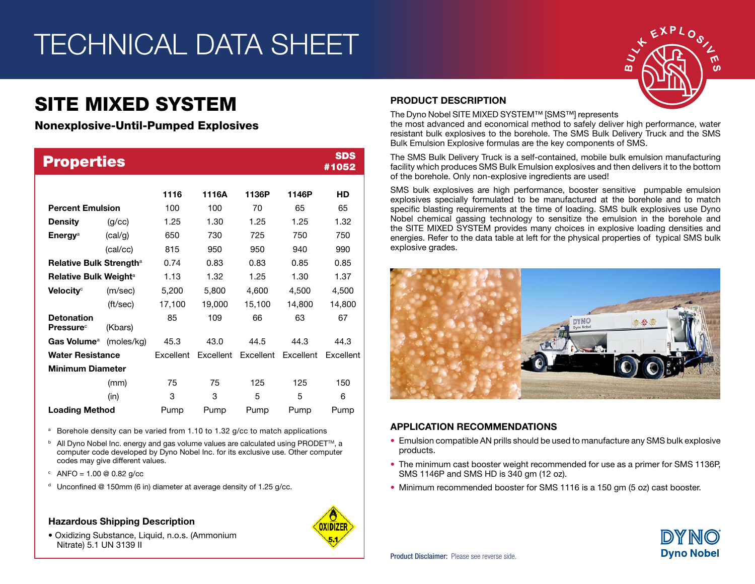# TECHNICAL DATA SHEET

## SITE MIXED SYSTEM

Nonexplosive-Until-Pumped Explosives

| <b>Properties</b>                                 |            |           |           |           |           | <b>SDS</b><br>#1052 |
|---------------------------------------------------|------------|-----------|-----------|-----------|-----------|---------------------|
|                                                   |            | 1116      | 1116A     | 1136P     | 1146P     | HD                  |
| <b>Percent Emulsion</b>                           |            | 100       | 100       | 70        | 65        | 65                  |
| <b>Density</b>                                    | (q/cc)     | 1.25      | 1.30      | 1.25      | 1.25      | 1.32                |
| Energy <sup>a</sup>                               | (cal/g)    | 650       | 730       | 725       | 750       | 750                 |
|                                                   | (cal/cc)   | 815       | 950       | 950       | 940       | 990                 |
| <b>Relative Bulk Strength<sup>a</sup></b>         |            | 0.74      | 0.83      | 0.83      | 0.85      | 0.85                |
| Relative Bulk Weight <sup>a</sup>                 |            | 1.13      | 1.32      | 1.25      | 1.30      | 1.37                |
| Velocity <sup>c</sup>                             | (m/sec)    | 5,200     | 5,800     | 4,600     | 4,500     | 4,500               |
|                                                   | (ft/sec)   | 17,100    | 19,000    | 15,100    | 14,800    | 14,800              |
| <b>Detonation</b><br><b>Pressure</b> <sup>c</sup> | (Kbars)    | 85        | 109       | 66        | 63        | 67                  |
| Gas Volume <sup>a</sup>                           | (moles/kg) | 45.3      | 43.0      | 44.5      | 44.3      | 44.3                |
| <b>Water Resistance</b>                           |            | Excellent | Excellent | Excellent | Excellent | Excellent           |
| <b>Minimum Diameter</b>                           |            |           |           |           |           |                     |
|                                                   | (mm)       | 75        | 75        | 125       | 125       | 150                 |
|                                                   | (in)       | 3         | 3         | 5         | 5         | 6                   |
| <b>Loading Method</b>                             |            | Pump      | Pump      | Pump      | Pump      | Pump                |

<sup>a</sup> Borehole density can be varied from 1.10 to 1.32 g/cc to match applications

- $b$  All Dyno Nobel Inc. energy and gas volume values are calculated using PRODET $\text{TM}$ , a computer code developed by Dyno Nobel Inc. for its exclusive use. Other computer codes may give different values.
- $^{\circ}$  ANFO = 1.00 @ 0.82 g/cc
- <sup>d</sup> Unconfined @ 150mm (6 in) diameter at average density of 1.25  $a$ /cc.

#### Hazardous Shipping Description

• Oxidizing Substance, Liquid, n.o.s. (Ammonium Nitrate) 5.1 UN 3139 II



### PRODUCT DESCRIPTION

The Dyno Nobel SITE MIXED SYSTEM™ [SMS™] represents

the most advanced and economical method to safely deliver high performance, water resistant bulk explosives to the borehole. The SMS Bulk Delivery Truck and the SMS Bulk Emulsion Explosive formulas are the key components of SMS.

The SMS Bulk Delivery Truck is a self-contained, mobile bulk emulsion manufacturing facility which produces SMS Bulk Emulsion explosives and then delivers it to the bottom of the borehole. Only non-explosive ingredients are used!

SMS bulk explosives are high performance, booster sensitive pumpable emulsion explosives specially formulated to be manufactured at the borehole and to match specific blasting requirements at the time of loading. SMS bulk explosives use Dyno Nobel chemical gassing technology to sensitize the emulsion in the borehole and the SITE MIXED SYSTEM provides many choices in explosive loading densities and energies. Refer to the data table at left for the physical properties of typical SMS bulk explosive grades.



### APPLICATION RECOMMENDATIONS

- Emulsion compatible AN prills should be used to manufacture any SMS bulk explosive products.
- The minimum cast booster weight recommended for use as a primer for SMS 1136P, SMS 1146P and SMS HD is 340 gm (12 oz).
- Minimum recommended booster for SMS 1116 is a 150 gm (5 oz) cast booster.